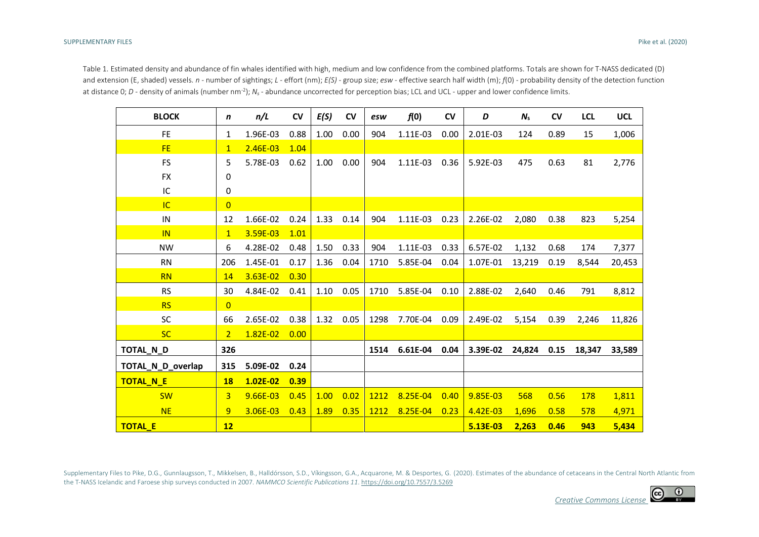Table 1. Estimated density and abundance of fin whales identified with high, medium and low confidence from the combined platforms. Totals are shown for T-NASS dedicated (D) and extension (E, shaded) vessels. *n* - number of sightings; *L* - effort (nm); *E(S)* - group size; *esw* - effective search half width (m); *f*(0) - probability density of the detection function at distance 0; *D* - density of animals (number nm<sup>-2</sup>);  $N_s$  - abundance uncorrected for perception bias; LCL and UCL - upper and lower confidence limits.

| <b>BLOCK</b>      | $\mathbf n$    | n/L          | <b>CV</b> | E(S) | <b>CV</b> | esw  | f(0)     | <b>CV</b> | D        | $N_{s}$ | <b>CV</b> | <b>LCL</b> | <b>UCL</b> |
|-------------------|----------------|--------------|-----------|------|-----------|------|----------|-----------|----------|---------|-----------|------------|------------|
| <b>FE</b>         | 1              | 1.96E-03     | 0.88      | 1.00 | 0.00      | 904  | 1.11E-03 | 0.00      | 2.01E-03 | 124     | 0.89      | 15         | 1,006      |
| <b>FE</b>         | $\mathbf{1}$   | 2.46E-03     | 1.04      |      |           |      |          |           |          |         |           |            |            |
| <b>FS</b>         | 5              | 5.78E-03     | 0.62      | 1.00 | 0.00      | 904  | 1.11E-03 | 0.36      | 5.92E-03 | 475     | 0.63      | 81         | 2,776      |
| <b>FX</b>         | 0              |              |           |      |           |      |          |           |          |         |           |            |            |
| IC                | 0              |              |           |      |           |      |          |           |          |         |           |            |            |
| <b>IC</b>         | $\overline{0}$ |              |           |      |           |      |          |           |          |         |           |            |            |
| IN                | 12             | 1.66E-02     | 0.24      | 1.33 | 0.14      | 904  | 1.11E-03 | 0.23      | 2.26E-02 | 2,080   | 0.38      | 823        | 5,254      |
| IN                | $\mathbf{1}$   | 3.59E-03     | 1.01      |      |           |      |          |           |          |         |           |            |            |
| <b>NW</b>         | 6              | 4.28E-02     | 0.48      | 1.50 | 0.33      | 904  | 1.11E-03 | 0.33      | 6.57E-02 | 1,132   | 0.68      | 174        | 7,377      |
| <b>RN</b>         | 206            | 1.45E-01     | 0.17      | 1.36 | 0.04      | 1710 | 5.85E-04 | 0.04      | 1.07E-01 | 13,219  | 0.19      | 8,544      | 20,453     |
| <b>RN</b>         | 14             | 3.63E-02     | 0.30      |      |           |      |          |           |          |         |           |            |            |
| <b>RS</b>         | 30             | 4.84E-02     | 0.41      | 1.10 | 0.05      | 1710 | 5.85E-04 | 0.10      | 2.88E-02 | 2,640   | 0.46      | 791        | 8,812      |
| <b>RS</b>         | $\overline{0}$ |              |           |      |           |      |          |           |          |         |           |            |            |
| SC                | 66             | 2.65E-02     | 0.38      | 1.32 | 0.05      | 1298 | 7.70E-04 | 0.09      | 2.49E-02 | 5,154   | 0.39      | 2,246      | 11,826     |
| <b>SC</b>         | $\overline{2}$ | $1.82E - 02$ | 0.00      |      |           |      |          |           |          |         |           |            |            |
| TOTAL_N_D         | 326            |              |           |      |           | 1514 | 6.61E-04 | 0.04      | 3.39E-02 | 24,824  | 0.15      | 18,347     | 33,589     |
| TOTAL N D overlap | 315            | 5.09E-02     | 0.24      |      |           |      |          |           |          |         |           |            |            |
| <b>TOTAL N E</b>  | <b>18</b>      | 1.02E-02     | 0.39      |      |           |      |          |           |          |         |           |            |            |
| <b>SW</b>         | $\overline{3}$ | 9.66E-03     | 0.45      | 1.00 | 0.02      | 1212 | 8.25E-04 | 0.40      | 9.85E-03 | 568     | 0.56      | 178        | 1,811      |
| <b>NE</b>         | 9              | 3.06E-03     | 0.43      | 1.89 | 0.35      | 1212 | 8.25E-04 | 0.23      | 4.42E-03 | 1,696   | 0.58      | 578        | 4,971      |
| <b>TOTAL E</b>    | 12             |              |           |      |           |      |          |           | 5.13E-03 | 2,263   | 0.46      | 943        | 5,434      |

Supplementary Files to Pike, D.G., Gunnlaugsson, T., Mikkelsen, B., Halldórsson, S.D., Víkingsson, G.A., Acquarone, M. & Desportes, G. (2020). Estimates of the abundance of cetaceans in the Central North Atlantic from the T-NASS Icelandic and Faroese ship surveys conducted in 2007. *NAMMCO Scientific Publications 11*[. https://doi.org/10.7557/3.5269](https://doi.org/10.7557/3.5269)

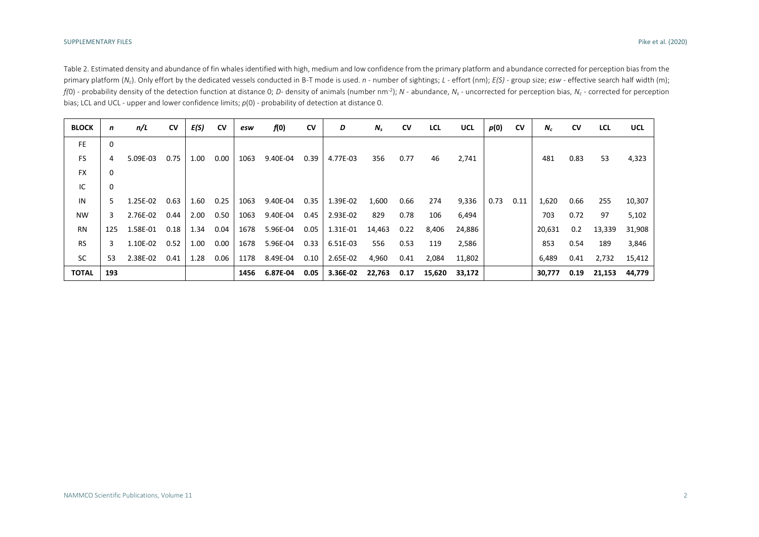Table 2. Estimated density and abundance of fin whales identified with high, medium and low confidence from the primary platform and abundance corrected for perception bias from the primary platform (N<sub>c</sub>). Only effort by the dedicated vessels conducted in B-T mode is used. n - number of sightings; L - effort (nm);  $E(S)$  - group size; esw - effective search half width (m); f(0) - probability density of the detection function at distance 0; D- density of animals (number nm<sup>-2</sup>); N - abundance, N<sub>s</sub> - uncorrected for perception bias, N<sub>c</sub> - corrected for perception bias; LCL and UCL - upper and lower confidence limits; *p*(0) - probability of detection at distance 0.

| <b>BLOCK</b> | n   | n/L      | <b>CV</b> | E(S) | <b>CV</b> | esw  | f(0)     | <b>CV</b> | D        | $N_{s}$ | <b>CV</b> | <b>LCL</b> | <b>UCL</b> | p(0) | <b>CV</b> | $N_c$  | <b>CV</b> | <b>LCL</b> | <b>UCL</b> |
|--------------|-----|----------|-----------|------|-----------|------|----------|-----------|----------|---------|-----------|------------|------------|------|-----------|--------|-----------|------------|------------|
| <b>FE</b>    | 0   |          |           |      |           |      |          |           |          |         |           |            |            |      |           |        |           |            |            |
| <b>FS</b>    | 4   | 5.09E-03 | 0.75      | 1.00 | 0.00      | 1063 | 9.40E-04 | 0.39      | 4.77E-03 | 356     | 0.77      | 46         | 2,741      |      |           | 481    | 0.83      | 53         | 4,323      |
| <b>FX</b>    | 0   |          |           |      |           |      |          |           |          |         |           |            |            |      |           |        |           |            |            |
| IC           | 0   |          |           |      |           |      |          |           |          |         |           |            |            |      |           |        |           |            |            |
| IN           | 5.  | 1.25E-02 | 0.63      | 1.60 | 0.25      | 1063 | 9.40E-04 | 0.35      | 1.39E-02 | 1,600   | 0.66      | 274        | 9,336      | 0.73 | 0.11      | 1,620  | 0.66      | 255        | 10,307     |
| <b>NW</b>    | 3   | 2.76E-02 | 0.44      | 2.00 | 0.50      | 1063 | 9.40E-04 | 0.45      | 2.93E-02 | 829     | 0.78      | 106        | 6,494      |      |           | 703    | 0.72      | 97         | 5,102      |
| <b>RN</b>    | 125 | 1.58E-01 | 0.18      | 1.34 | 0.04      | 1678 | 5.96E-04 | 0.05      | 1.31E-01 | 14,463  | 0.22      | 8,406      | 24,886     |      |           | 20,631 | 0.2       | 13,339     | 31,908     |
| <b>RS</b>    | 3   | 1.10E-02 | 0.52      | 1.00 | 0.00      | 1678 | 5.96E-04 | 0.33      | 6.51E-03 | 556     | 0.53      | 119        | 2,586      |      |           | 853    | 0.54      | 189        | 3,846      |
| <b>SC</b>    | 53  | 2.38E-02 | 0.41      | 1.28 | 0.06      | 1178 | 8.49E-04 | 0.10      | 2.65E-02 | 4,960   | 0.41      | 2,084      | 11,802     |      |           | 6,489  | 0.41      | 2,732      | 15,412     |
| <b>TOTAL</b> | 193 |          |           |      |           | 1456 | 6.87E-04 | 0.05      | 3.36E-02 | 22,763  | 0.17      | 15,620     | 33,172     |      |           | 30,777 | 0.19      | 21,153     | 44,779     |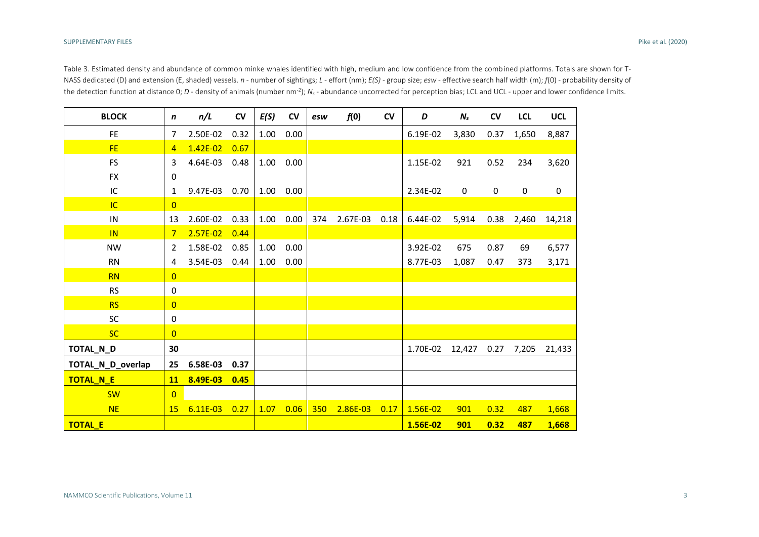Table 3. Estimated density and abundance of common minke whales identified with high, medium and low confidence from the combined platforms. Totals are shown for T-NASS dedicated (D) and extension (E, shaded) vessels. *n* - number of sightings; *L -* effort (nm); *E(S)* - group size; *esw* - effective search half width (m); *f*(0) - probability density of the detection function at distance 0; *D* - density of animals (number nm<sup>-2</sup>);  $N_s$  - abundance uncorrected for perception bias; LCL and UCL - upper and lower confidence limits.

| <b>BLOCK</b>      | n              | n/L          | CV   | E(S) | CV             | esw | f(0)          | CV   | D        | $N_{s}$     | CV          | <b>LCL</b> | <b>UCL</b>  |
|-------------------|----------------|--------------|------|------|----------------|-----|---------------|------|----------|-------------|-------------|------------|-------------|
| <b>FE</b>         | 7              | 2.50E-02     | 0.32 | 1.00 | 0.00           |     |               |      | 6.19E-02 | 3,830       | 0.37        | 1,650      | 8,887       |
| FE.               | $\overline{4}$ | $1.42E - 02$ | 0.67 |      |                |     |               |      |          |             |             |            |             |
| <b>FS</b>         | 3              | 4.64E-03     | 0.48 | 1.00 | 0.00           |     |               |      | 1.15E-02 | 921         | 0.52        | 234        | 3,620       |
| <b>FX</b>         | 0              |              |      |      |                |     |               |      |          |             |             |            |             |
| IC                | 1              | 9.47E-03     | 0.70 | 1.00 | 0.00           |     |               |      | 2.34E-02 | $\mathbf 0$ | $\mathbf 0$ | $\pmb{0}$  | $\mathbf 0$ |
| <b>IC</b>         | $\overline{0}$ |              |      |      |                |     |               |      |          |             |             |            |             |
| ${\sf IN}$        | 13             | 2.60E-02     | 0.33 |      | $1.00 \t 0.00$ | 374 | 2.67E-03 0.18 |      | 6.44E-02 | 5,914       | 0.38        | 2,460      | 14,218      |
| IN                | $7\phantom{.}$ | $2.57E-02$   | 0.44 |      |                |     |               |      |          |             |             |            |             |
| <b>NW</b>         | 2              | 1.58E-02     | 0.85 | 1.00 | 0.00           |     |               |      | 3.92E-02 | 675         | 0.87        | 69         | 6,577       |
| <b>RN</b>         | 4              | 3.54E-03     | 0.44 | 1.00 | 0.00           |     |               |      | 8.77E-03 | 1,087       | 0.47        | 373        | 3,171       |
| <b>RN</b>         | $\overline{0}$ |              |      |      |                |     |               |      |          |             |             |            |             |
| <b>RS</b>         | 0              |              |      |      |                |     |               |      |          |             |             |            |             |
| <b>RS</b>         | $\overline{0}$ |              |      |      |                |     |               |      |          |             |             |            |             |
| SC                | 0              |              |      |      |                |     |               |      |          |             |             |            |             |
| <b>SC</b>         | $\overline{0}$ |              |      |      |                |     |               |      |          |             |             |            |             |
| TOTAL_N_D         | 30             |              |      |      |                |     |               |      | 1.70E-02 | 12,427      | 0.27        | 7,205      | 21,433      |
| TOTAL_N_D_overlap | 25             | 6.58E-03     | 0.37 |      |                |     |               |      |          |             |             |            |             |
| TOTAL_N_E         | 11             | 8.49E-03     | 0.45 |      |                |     |               |      |          |             |             |            |             |
| <b>SW</b>         | $\overline{0}$ |              |      |      |                |     |               |      |          |             |             |            |             |
| <b>NE</b>         | <b>15</b>      | $6.11E-03$   | 0.27 | 1.07 | 0.06           | 350 | 2.86E-03      | 0.17 | 1.56E-02 | 901         | 0.32        | 487        | 1,668       |
| <b>TOTAL_E</b>    |                |              |      |      |                |     |               |      | 1.56E-02 | 901         | 0.32        | 487        | 1,668       |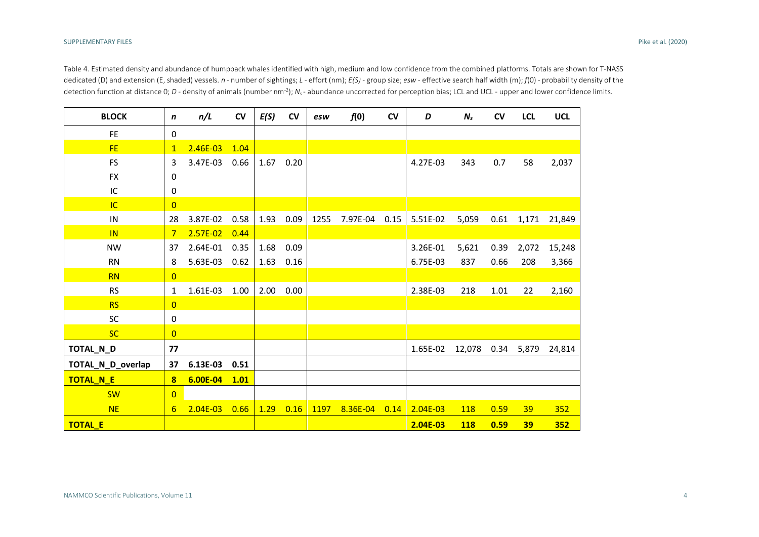Table 4. Estimated density and abundance of humpback whales identified with high, medium and low confidence from the combined platforms. Totals are shown for T-NASS dedicated (D) and extension (E, shaded) vessels. *n* - number of sightings; *L* - effort (nm); *E(S)* - group size; *esw* - effective search half width (m); *f*(0) - probability density of the detection function at distance 0; *D* - density of animals (number nm<sup>-2</sup>); *N*<sub>s</sub>-abundance uncorrected for perception bias; LCL and UCL - upper and lower confidence limits.

| <b>BLOCK</b>      | $\mathbf n$    | n/L          | ${\sf CV}$ | E(S) | $\mathsf{cv}$ | esw  | f(0)          | CV   | D          | $N_{s}$    | <b>CV</b> | <b>LCL</b> | <b>UCL</b> |
|-------------------|----------------|--------------|------------|------|---------------|------|---------------|------|------------|------------|-----------|------------|------------|
| <b>FE</b>         | $\pmb{0}$      |              |            |      |               |      |               |      |            |            |           |            |            |
| <b>FE</b>         | $\mathbf{1}$   | $2.46E - 03$ | 1.04       |      |               |      |               |      |            |            |           |            |            |
| <b>FS</b>         | 3              | 3.47E-03     | 0.66       | 1.67 | 0.20          |      |               |      | 4.27E-03   | 343        | 0.7       | 58         | 2,037      |
| <b>FX</b>         | 0              |              |            |      |               |      |               |      |            |            |           |            |            |
| IC                | 0              |              |            |      |               |      |               |      |            |            |           |            |            |
| IC                | $\overline{0}$ |              |            |      |               |      |               |      |            |            |           |            |            |
| IN                | 28             | 3.87E-02     | 0.58       |      | 1.93 0.09     | 1255 | 7.97E-04 0.15 |      | 5.51E-02   | 5,059      | 0.61      | 1,171      | 21,849     |
| IN                | $7^{\circ}$    | $2.57E-02$   | 0.44       |      |               |      |               |      |            |            |           |            |            |
| <b>NW</b>         | 37             | 2.64E-01     | 0.35       | 1.68 | 0.09          |      |               |      | 3.26E-01   | 5,621      | 0.39      | 2,072      | 15,248     |
| <b>RN</b>         | 8              | 5.63E-03     | 0.62       | 1.63 | 0.16          |      |               |      | 6.75E-03   | 837        | 0.66      | 208        | 3,366      |
| <b>RN</b>         | $\overline{0}$ |              |            |      |               |      |               |      |            |            |           |            |            |
| <b>RS</b>         | 1              | 1.61E-03     | 1.00       | 2.00 | 0.00          |      |               |      | 2.38E-03   | 218        | 1.01      | 22         | 2,160      |
| <b>RS</b>         | $\overline{0}$ |              |            |      |               |      |               |      |            |            |           |            |            |
| <b>SC</b>         | 0              |              |            |      |               |      |               |      |            |            |           |            |            |
| <b>SC</b>         | $\overline{0}$ |              |            |      |               |      |               |      |            |            |           |            |            |
| TOTAL_N_D         | 77             |              |            |      |               |      |               |      | 1.65E-02   | 12,078     | 0.34      | 5,879      | 24,814     |
| TOTAL_N_D_overlap | 37             | 6.13E-03     | 0.51       |      |               |      |               |      |            |            |           |            |            |
| TOTAL_N_E         | 8              | 6.00E-04     | 1.01       |      |               |      |               |      |            |            |           |            |            |
| <b>SW</b>         | $\overline{0}$ |              |            |      |               |      |               |      |            |            |           |            |            |
| <b>NE</b>         | 6              | $2.04E - 03$ | 0.66       | 1.29 | 0.16          | 1197 | 8.36E-04      | 0.14 | $2.04E-03$ | <b>118</b> | 0.59      | 39         | 352        |
| <b>TOTAL_E</b>    |                |              |            |      |               |      |               |      | 2.04E-03   | <b>118</b> | 0.59      | 39         | 352        |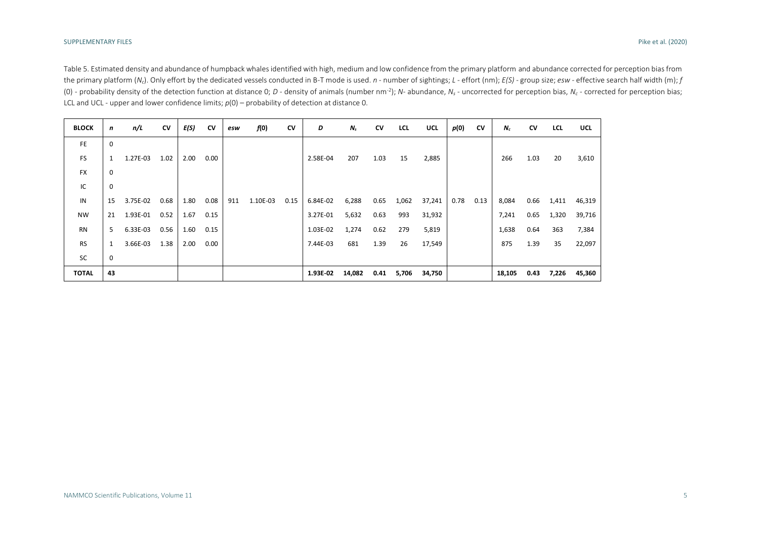Table 5. Estimated density and abundance of humpback whales identified with high, medium and low confidence from the primary platform and abundance corrected for perception bias from the primary platform (N<sub>c</sub>). Only effort by the dedicated vessels conducted in B-T mode is used. n - number of sightings; L - effort (nm); E(S) - group size; esw - effective search half width (m); f (0) - probability density of the detection function at distance 0; D - density of animals (number nm<sup>-2</sup>); N- abundance, N<sub>s</sub> - uncorrected for perception bias, N<sub>c</sub> - corrected for perception bias; LCL and UCL - upper and lower confidence limits; *p*(0) – probability of detection at distance 0.

| <b>BLOCK</b> | n           | n/L      | CV   | E(S) | CV   | esw | f(0)     | CV   | D        | $N_{s}$ | CV   | LCL   | <b>UCL</b> | p(0) | CV   | $N_c$  | CV   | <b>LCL</b> | <b>UCL</b> |
|--------------|-------------|----------|------|------|------|-----|----------|------|----------|---------|------|-------|------------|------|------|--------|------|------------|------------|
| <b>FE</b>    | $\mathbf 0$ |          |      |      |      |     |          |      |          |         |      |       |            |      |      |        |      |            |            |
| <b>FS</b>    | 1           | 1.27E-03 | 1.02 | 2.00 | 0.00 |     |          |      | 2.58E-04 | 207     | 1.03 | 15    | 2,885      |      |      | 266    | 1.03 | 20         | 3,610      |
| <b>FX</b>    | $\mathbf 0$ |          |      |      |      |     |          |      |          |         |      |       |            |      |      |        |      |            |            |
| IC           | 0           |          |      |      |      |     |          |      |          |         |      |       |            |      |      |        |      |            |            |
| IN           | 15          | 3.75E-02 | 0.68 | 1.80 | 0.08 | 911 | 1.10E-03 | 0.15 | 6.84E-02 | 6,288   | 0.65 | 1,062 | 37,241     | 0.78 | 0.13 | 8,084  | 0.66 | 1,411      | 46,319     |
| <b>NW</b>    | 21          | 1.93E-01 | 0.52 | 1.67 | 0.15 |     |          |      | 3.27E-01 | 5,632   | 0.63 | 993   | 31,932     |      |      | 7,241  | 0.65 | 1,320      | 39,716     |
| <b>RN</b>    | 5           | 6.33E-03 | 0.56 | 1.60 | 0.15 |     |          |      | 1.03E-02 | 1,274   | 0.62 | 279   | 5,819      |      |      | 1,638  | 0.64 | 363        | 7,384      |
| <b>RS</b>    |             | 3.66E-03 | 1.38 | 2.00 | 0.00 |     |          |      | 7.44E-03 | 681     | 1.39 | 26    | 17,549     |      |      | 875    | 1.39 | 35         | 22,097     |
| SC           | 0           |          |      |      |      |     |          |      |          |         |      |       |            |      |      |        |      |            |            |
| <b>TOTAL</b> | 43          |          |      |      |      |     |          |      | 1.93E-02 | 14,082  | 0.41 | 5,706 | 34,750     |      |      | 18,105 | 0.43 | 7,226      | 45,360     |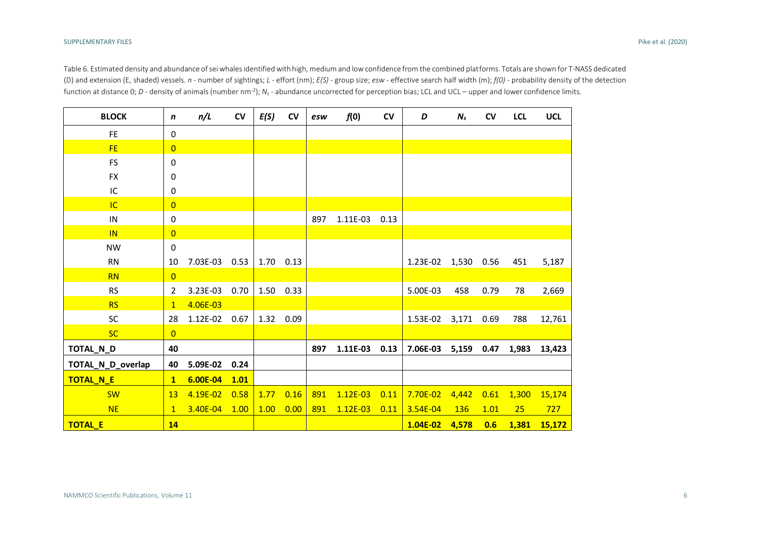Table 6. Estimated density and abundance of sei whales identified with high, medium and low confidence from the combined platforms. Totals are shown for T-NASS dedicated (D) and extension (E, shaded) vessels. *n* - number of sightings; *L -* effort (nm); *E(S)* - group size; *esw* - effective search half width (m); *f(0)* - probability density of the detection function at distance 0; *D* - density of animals (number nm<sup>-2</sup>);  $N_s$  - abundance uncorrected for perception bias; LCL and UCL – upper and lower confidence limits.

| <b>BLOCK</b>      | n              | n/L      | CV   | E(S) | CV        | esw | f(0)       | CV   | D        | $N_{s}$    | CV   | <b>LCL</b> | <b>UCL</b> |
|-------------------|----------------|----------|------|------|-----------|-----|------------|------|----------|------------|------|------------|------------|
| <b>FE</b>         | 0              |          |      |      |           |     |            |      |          |            |      |            |            |
| <b>FE</b>         | $\overline{0}$ |          |      |      |           |     |            |      |          |            |      |            |            |
| <b>FS</b>         | 0              |          |      |      |           |     |            |      |          |            |      |            |            |
| <b>FX</b>         | 0              |          |      |      |           |     |            |      |          |            |      |            |            |
| IC                | 0              |          |      |      |           |     |            |      |          |            |      |            |            |
| IC.               | $\overline{0}$ |          |      |      |           |     |            |      |          |            |      |            |            |
| IN                | 0              |          |      |      |           | 897 | 1.11E-03   | 0.13 |          |            |      |            |            |
| IN                | $\overline{0}$ |          |      |      |           |     |            |      |          |            |      |            |            |
| <b>NW</b>         | $\mathbf 0$    |          |      |      |           |     |            |      |          |            |      |            |            |
| <b>RN</b>         | 10             | 7.03E-03 | 0.53 |      | 1.70 0.13 |     |            |      | 1.23E-02 | 1,530      | 0.56 | 451        | 5,187      |
| <b>RN</b>         | $\overline{0}$ |          |      |      |           |     |            |      |          |            |      |            |            |
| <b>RS</b>         | 2              | 3.23E-03 | 0.70 |      | 1.50 0.33 |     |            |      | 5.00E-03 | 458        | 0.79 | 78         | 2,669      |
| <b>RS</b>         | $\mathbf{1}$   | 4.06E-03 |      |      |           |     |            |      |          |            |      |            |            |
| <b>SC</b>         | 28             | 1.12E-02 | 0.67 |      | 1.32 0.09 |     |            |      | 1.53E-02 | 3,171 0.69 |      | 788        | 12,761     |
| <b>SC</b>         | $\overline{0}$ |          |      |      |           |     |            |      |          |            |      |            |            |
| TOTAL_N_D         | 40             |          |      |      |           | 897 | 1.11E-03   | 0.13 | 7.06E-03 | 5,159      | 0.47 | 1,983      | 13,423     |
| TOTAL_N_D_overlap | 40             | 5.09E-02 | 0.24 |      |           |     |            |      |          |            |      |            |            |
| TOTAL_N_E         | $\mathbf{1}$   | 6.00E-04 | 1.01 |      |           |     |            |      |          |            |      |            |            |
| <b>SW</b>         | 13             | 4.19E-02 | 0.58 | 1.77 | 0.16      | 891 | $1.12E-03$ | 0.11 | 7.70E-02 | 4,442      | 0.61 | 1,300      | 15,174     |
| <b>NE</b>         | $\mathbf{1}$   | 3.40E-04 | 1.00 | 1.00 | 0.00      | 891 | $1.12E-03$ | 0.11 | 3.54E-04 | <b>136</b> | 1.01 | 25         | 727        |
| <b>TOTAL_E</b>    | 14             |          |      |      |           |     |            |      | 1.04E-02 | 4,578      | 0.6  | 1,381      | 15,172     |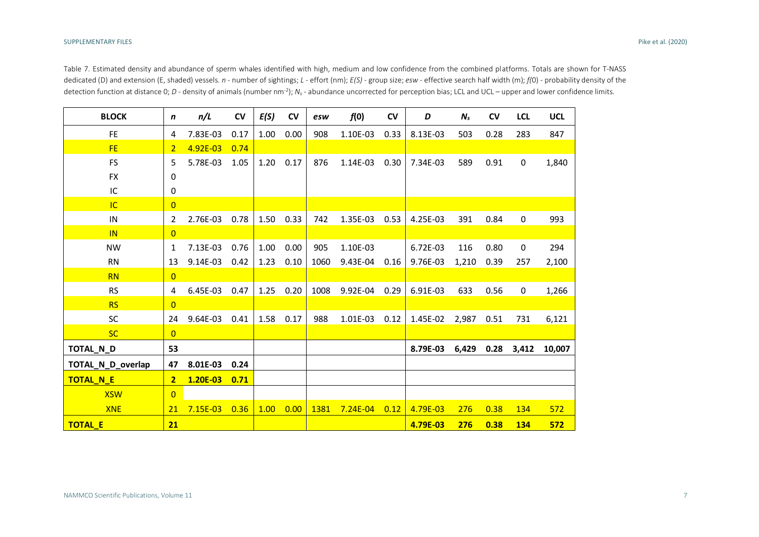Table 7. Estimated density and abundance of sperm whales identified with high, medium and low confidence from the combined platforms. Totals are shown for T-NASS dedicated (D) and extension (E, shaded) vessels. *n* - number of sightings; *L -* effort (nm); *E(S)* - group size; *esw* - effective search half width (m); *f(*0) - probability density of the detection function at distance 0; *D* - density of animals (number nm<sup>-2</sup>);  $N_s$  - abundance uncorrected for perception bias; LCL and UCL – upper and lower confidence limits.

| <b>BLOCK</b>      | n              | n/L          | CV   | E(S) | <b>CV</b> | esw  | f(0)         | CV   | D        | $N_{s}$ | <b>CV</b> | <b>LCL</b>  | <b>UCL</b> |
|-------------------|----------------|--------------|------|------|-----------|------|--------------|------|----------|---------|-----------|-------------|------------|
| <b>FE</b>         | 4              | 7.83E-03     | 0.17 | 1.00 | 0.00      | 908  | 1.10E-03     | 0.33 | 8.13E-03 | 503     | 0.28      | 283         | 847        |
| <b>FE</b>         | $\overline{2}$ | $4.92E - 03$ | 0.74 |      |           |      |              |      |          |         |           |             |            |
| <b>FS</b>         | 5              | 5.78E-03     | 1.05 | 1.20 | 0.17      | 876  | 1.14E-03     | 0.30 | 7.34E-03 | 589     | 0.91      | $\pmb{0}$   | 1,840      |
| <b>FX</b>         | 0              |              |      |      |           |      |              |      |          |         |           |             |            |
| IC                | 0              |              |      |      |           |      |              |      |          |         |           |             |            |
| IC                | $\overline{0}$ |              |      |      |           |      |              |      |          |         |           |             |            |
| IN                | 2              | 2.76E-03     | 0.78 | 1.50 | 0.33      | 742  | 1.35E-03     | 0.53 | 4.25E-03 | 391     | 0.84      | $\pmb{0}$   | 993        |
| IN                | $\overline{0}$ |              |      |      |           |      |              |      |          |         |           |             |            |
| <b>NW</b>         | 1              | 7.13E-03     | 0.76 | 1.00 | 0.00      | 905  | 1.10E-03     |      | 6.72E-03 | 116     | 0.80      | $\mathbf 0$ | 294        |
| <b>RN</b>         | 13             | 9.14E-03     | 0.42 | 1.23 | 0.10      | 1060 | 9.43E-04     | 0.16 | 9.76E-03 | 1,210   | 0.39      | 257         | 2,100      |
| <b>RN</b>         | $\overline{0}$ |              |      |      |           |      |              |      |          |         |           |             |            |
| <b>RS</b>         | 4              | 6.45E-03     | 0.47 | 1.25 | 0.20      | 1008 | 9.92E-04     | 0.29 | 6.91E-03 | 633     | 0.56      | $\mathbf 0$ | 1,266      |
| <b>RS</b>         | $\overline{0}$ |              |      |      |           |      |              |      |          |         |           |             |            |
| <b>SC</b>         | 24             | 9.64E-03     | 0.41 | 1.58 | 0.17      | 988  | 1.01E-03     | 0.12 | 1.45E-02 | 2,987   | 0.51      | 731         | 6,121      |
| <b>SC</b>         | $\overline{0}$ |              |      |      |           |      |              |      |          |         |           |             |            |
| TOTAL N_D         | 53             |              |      |      |           |      |              |      | 8.79E-03 | 6,429   | 0.28      | 3,412       | 10,007     |
| TOTAL_N_D_overlap | 47             | 8.01E-03     | 0.24 |      |           |      |              |      |          |         |           |             |            |
| TOTAL N_E         | $\overline{2}$ | 1.20E-03     | 0.71 |      |           |      |              |      |          |         |           |             |            |
| <b>XSW</b>        | $\overline{0}$ |              |      |      |           |      |              |      |          |         |           |             |            |
| <b>XNE</b>        | 21             | $7.15E-03$   | 0.36 | 1.00 | 0.00      | 1381 | $7.24E - 04$ | 0.12 | 4.79E-03 | 276     | 0.38      | 134         | 572        |
| <b>TOTAL E</b>    | 21             |              |      |      |           |      |              |      | 4.79E-03 | 276     | 0.38      | 134         | 572        |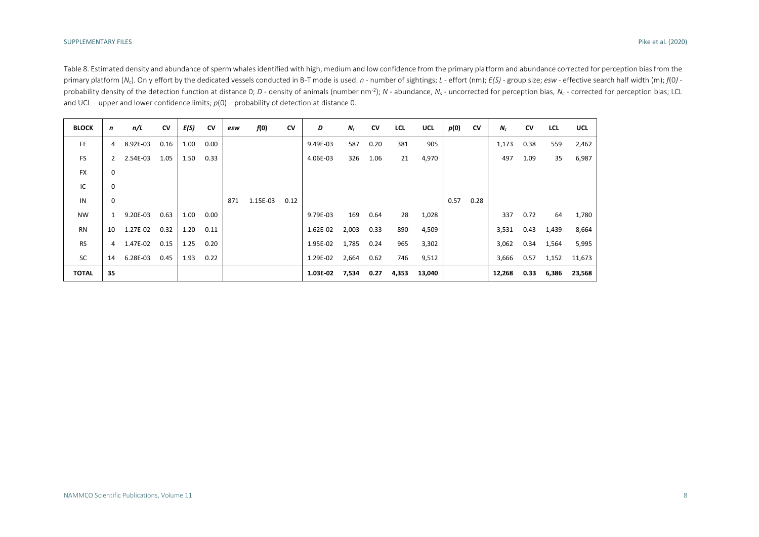Table 8. Estimated density and abundance of sperm whales identified with high, medium and low confidence from the primary platform and abundance corrected for perception bias from the primary platform (N<sub>c</sub>). Only effort by the dedicated vessels conducted in B-T mode is used. n - number of sightings; L - effort (nm); E(S) - group size; esw - effective search half width (m);  $f(0)$  probability density of the detection function at distance 0; D - density of animals (number nm<sup>-2</sup>); N - abundance, N<sub>s</sub> - uncorrected for perception bias, N<sub>c</sub> - corrected for perception bias, N<sub>c</sub> - corrected for percep and UCL – upper and lower confidence limits;  $p(0)$  – probability of detection at distance 0.

| <b>BLOCK</b> | n  | n/L      | CV   | E(S) | CV   | esw | f(0)     | CV   | D        | $N_{s}$ | CV   | <b>LCL</b> | UCL    | p(0) | <b>CV</b> | $N_c$  | CV   | <b>LCL</b> | <b>UCL</b> |
|--------------|----|----------|------|------|------|-----|----------|------|----------|---------|------|------------|--------|------|-----------|--------|------|------------|------------|
| <b>FE</b>    | 4  | 8.92E-03 | 0.16 | 1.00 | 0.00 |     |          |      | 9.49E-03 | 587     | 0.20 | 381        | 905    |      |           | 1,173  | 0.38 | 559        | 2,462      |
| <b>FS</b>    | 2  | 2.54E-03 | 1.05 | 1.50 | 0.33 |     |          |      | 4.06E-03 | 326     | 1.06 | 21         | 4,970  |      |           | 497    | 1.09 | 35         | 6,987      |
| <b>FX</b>    | 0  |          |      |      |      |     |          |      |          |         |      |            |        |      |           |        |      |            |            |
| IC           | 0  |          |      |      |      |     |          |      |          |         |      |            |        |      |           |        |      |            |            |
| IN           | 0  |          |      |      |      | 871 | 1.15E-03 | 0.12 |          |         |      |            |        | 0.57 | 0.28      |        |      |            |            |
| <b>NW</b>    | 1  | 9.20E-03 | 0.63 | 1.00 | 0.00 |     |          |      | 9.79E-03 | 169     | 0.64 | 28         | 1,028  |      |           | 337    | 0.72 | 64         | 1,780      |
| <b>RN</b>    | 10 | 1.27E-02 | 0.32 | 1.20 | 0.11 |     |          |      | 1.62E-02 | 2,003   | 0.33 | 890        | 4,509  |      |           | 3,531  | 0.43 | 1,439      | 8,664      |
| <b>RS</b>    | 4  | 1.47E-02 | 0.15 | 1.25 | 0.20 |     |          |      | 1.95E-02 | 1,785   | 0.24 | 965        | 3,302  |      |           | 3,062  | 0.34 | 1,564      | 5,995      |
| <b>SC</b>    | 14 | 6.28E-03 | 0.45 | 1.93 | 0.22 |     |          |      | 1.29E-02 | 2,664   | 0.62 | 746        | 9,512  |      |           | 3,666  | 0.57 | 1,152      | 11,673     |
| <b>TOTAL</b> | 35 |          |      |      |      |     |          |      | 1.03E-02 | 7,534   | 0.27 | 4,353      | 13,040 |      |           | 12,268 | 0.33 | 6,386      | 23,568     |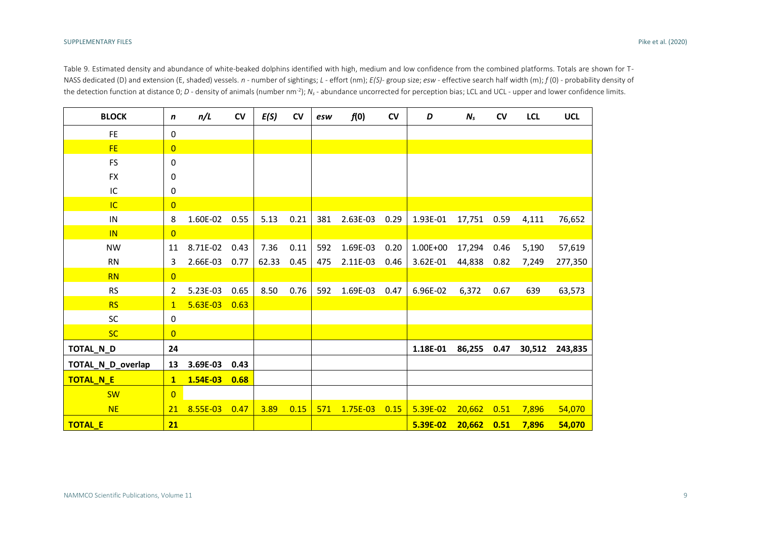Table 9. Estimated density and abundance of white-beaked dolphins identified with high, medium and low confidence from the combined platforms. Totals are shown for T-NASS dedicated (D) and extension (E, shaded) vessels. *n* - number of sightings; *L -* effort (nm); *E(S)*- group size; *esw* - effective search half width (m); *f* (0) - probability density of the detection function at distance 0; *D* - density of animals (number nm<sup>-2</sup>);  $N_s$  - abundance uncorrected for perception bias; LCL and UCL - upper and lower confidence limits.

| <b>BLOCK</b>      | n              | n/L        | <b>CV</b> | E(S)  | <b>CV</b> | esw | f(0)     | CV   | D            | $N_{s}$ | CV   | <b>LCL</b> | <b>UCL</b> |
|-------------------|----------------|------------|-----------|-------|-----------|-----|----------|------|--------------|---------|------|------------|------------|
| <b>FE</b>         | 0              |            |           |       |           |     |          |      |              |         |      |            |            |
| <b>FE</b>         | $\overline{0}$ |            |           |       |           |     |          |      |              |         |      |            |            |
| <b>FS</b>         | 0              |            |           |       |           |     |          |      |              |         |      |            |            |
| <b>FX</b>         | 0              |            |           |       |           |     |          |      |              |         |      |            |            |
| IC                | 0              |            |           |       |           |     |          |      |              |         |      |            |            |
| <b>IC</b>         | $\overline{0}$ |            |           |       |           |     |          |      |              |         |      |            |            |
| ${\sf IN}$        | 8              | 1.60E-02   | 0.55      | 5.13  | 0.21      | 381 | 2.63E-03 | 0.29 | 1.93E-01     | 17,751  | 0.59 | 4,111      | 76,652     |
| IN                | $\overline{0}$ |            |           |       |           |     |          |      |              |         |      |            |            |
| <b>NW</b>         | 11             | 8.71E-02   | 0.43      | 7.36  | 0.11      | 592 | 1.69E-03 | 0.20 | $1.00E + 00$ | 17,294  | 0.46 | 5,190      | 57,619     |
| <b>RN</b>         | 3              | 2.66E-03   | 0.77      | 62.33 | 0.45      | 475 | 2.11E-03 | 0.46 | 3.62E-01     | 44,838  | 0.82 | 7,249      | 277,350    |
| <b>RN</b>         | $\overline{0}$ |            |           |       |           |     |          |      |              |         |      |            |            |
| <b>RS</b>         | $\overline{2}$ | 5.23E-03   | 0.65      | 8.50  | 0.76      | 592 | 1.69E-03 | 0.47 | 6.96E-02     | 6,372   | 0.67 | 639        | 63,573     |
| <b>RS</b>         | $\mathbf{1}$   | $5.63E-03$ | 0.63      |       |           |     |          |      |              |         |      |            |            |
| <b>SC</b>         | 0              |            |           |       |           |     |          |      |              |         |      |            |            |
| <b>SC</b>         | $\overline{0}$ |            |           |       |           |     |          |      |              |         |      |            |            |
| TOTAL_N_D         | 24             |            |           |       |           |     |          |      | 1.18E-01     | 86,255  | 0.47 | 30,512     | 243,835    |
| TOTAL_N_D_overlap | 13             | 3.69E-03   | 0.43      |       |           |     |          |      |              |         |      |            |            |
| TOTAL N_E         | $\mathbf{1}$   | 1.54E-03   | 0.68      |       |           |     |          |      |              |         |      |            |            |
| <b>SW</b>         | $\overline{0}$ |            |           |       |           |     |          |      |              |         |      |            |            |
| <b>NE</b>         | 21             | 8.55E-03   | 0.47      | 3.89  | 0.15      | 571 | 1.75E-03 | 0.15 | 5.39E-02     | 20,662  | 0.51 | 7,896      | 54,070     |
| <b>TOTAL_E</b>    | 21             |            |           |       |           |     |          |      | 5.39E-02     | 20,662  | 0.51 | 7,896      | 54,070     |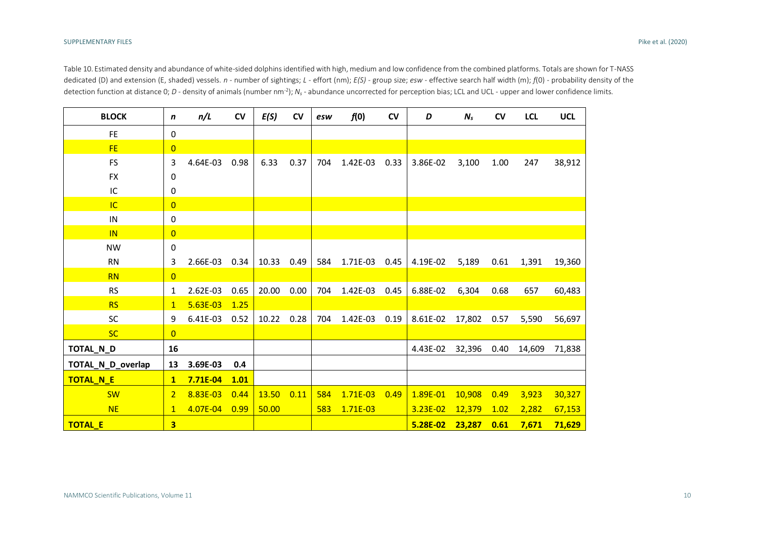Table 10. Estimated density and abundance of white-sided dolphins identified with high, medium and low confidence from the combined platforms. Totals are shown for T-NASS dedicated (D) and extension (E, shaded) vessels. *n* - number of sightings; *L -* effort (nm); *E(S)* - group size; *esw* - effective search half width (m); *f*(0) - probability density of the detection function at distance 0; *D* - density of animals (number nm<sup>-2</sup>);  $N_s$ - abundance uncorrected for perception bias; LCL and UCL - upper and lower confidence limits.

| <b>BLOCK</b>      | n              | n/L        | CV   | E(S)  | CV   | esw | f(0)       | $\mathsf{cv}$ | D        | $N_{s}$ | CV   | <b>LCL</b> | <b>UCL</b> |
|-------------------|----------------|------------|------|-------|------|-----|------------|---------------|----------|---------|------|------------|------------|
| <b>FE</b>         | 0              |            |      |       |      |     |            |               |          |         |      |            |            |
| <b>FE</b>         | $\overline{0}$ |            |      |       |      |     |            |               |          |         |      |            |            |
| <b>FS</b>         | 3              | 4.64E-03   | 0.98 | 6.33  | 0.37 | 704 | 1.42E-03   | 0.33          | 3.86E-02 | 3,100   | 1.00 | 247        | 38,912     |
| <b>FX</b>         | 0              |            |      |       |      |     |            |               |          |         |      |            |            |
| IC                | 0              |            |      |       |      |     |            |               |          |         |      |            |            |
| IC                | $\overline{0}$ |            |      |       |      |     |            |               |          |         |      |            |            |
| IN                | 0              |            |      |       |      |     |            |               |          |         |      |            |            |
| <b>IN</b>         | $\overline{0}$ |            |      |       |      |     |            |               |          |         |      |            |            |
| <b>NW</b>         | 0              |            |      |       |      |     |            |               |          |         |      |            |            |
| <b>RN</b>         | 3              | 2.66E-03   | 0.34 | 10.33 | 0.49 | 584 | 1.71E-03   | 0.45          | 4.19E-02 | 5,189   | 0.61 | 1,391      | 19,360     |
| <b>RN</b>         | $\overline{0}$ |            |      |       |      |     |            |               |          |         |      |            |            |
| <b>RS</b>         | 1              | 2.62E-03   | 0.65 | 20.00 | 0.00 | 704 | 1.42E-03   | 0.45          | 6.88E-02 | 6,304   | 0.68 | 657        | 60,483     |
| <b>RS</b>         | 1              | $5.63E-03$ | 1.25 |       |      |     |            |               |          |         |      |            |            |
| <b>SC</b>         | 9              | 6.41E-03   | 0.52 | 10.22 | 0.28 | 704 | 1.42E-03   | 0.19          | 8.61E-02 | 17,802  | 0.57 | 5,590      | 56,697     |
| <b>SC</b>         | $\overline{0}$ |            |      |       |      |     |            |               |          |         |      |            |            |
| TOTAL_N_D         | 16             |            |      |       |      |     |            |               | 4.43E-02 | 32,396  | 0.40 | 14,609     | 71,838     |
| TOTAL_N_D_overlap | 13             | 3.69E-03   | 0.4  |       |      |     |            |               |          |         |      |            |            |
| TOTAL_N_E         | $\mathbf{1}$   | 7.71E-04   | 1.01 |       |      |     |            |               |          |         |      |            |            |
| <b>SW</b>         | $\overline{2}$ | 8.83E-03   | 0.44 | 13.50 | 0.11 | 584 | $1.71E-03$ | 0.49          | 1.89E-01 | 10,908  | 0.49 | 3,923      | 30,327     |
| <b>NE</b>         | $\mathbf{1}$   | 4.07E-04   | 0.99 | 50.00 |      | 583 | $1.71E-03$ |               | 3.23E-02 | 12,379  | 1.02 | 2,282      | 67,153     |
| <b>TOTAL_E</b>    | 3              |            |      |       |      |     |            |               | 5.28E-02 | 23,287  | 0.61 | 7,671      | 71,629     |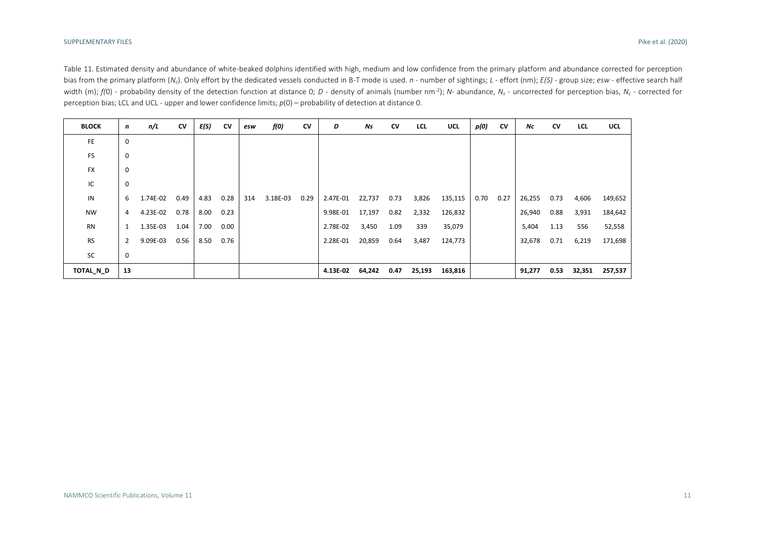Table 11. Estimated density and abundance of white-beaked dolphins identified with high, medium and low confidence from the primary platform and abundance corrected for perception bias from the primary platform  $(N_c)$ . Only effort by the dedicated vessels conducted in B-T mode is used. n - number of sightings; L - effort (nm); E(S) - group size; esw - effective search half width (m); f(0) - probability density of the detection function at distance 0; D - density of animals (number nm<sup>-2</sup>); N- abundance, N<sub>s</sub> - uncorrected for perception bias, N<sub>c</sub> - corrected for perception bias; LCL and UCL - upper and lower confidence limits; *p*(0) – probability of detection at distance 0.

| <b>BLOCK</b> | n              | n/L      | CV   | E(S) | CV   | esw | f(0)     | CV   | D        | Ns     | CV   | <b>LCL</b> | UCL     | p(0) | CV   | Νc     | CV   | LCL    | <b>UCL</b> |
|--------------|----------------|----------|------|------|------|-----|----------|------|----------|--------|------|------------|---------|------|------|--------|------|--------|------------|
| FE           | $\mathbf 0$    |          |      |      |      |     |          |      |          |        |      |            |         |      |      |        |      |        |            |
| FS           | 0              |          |      |      |      |     |          |      |          |        |      |            |         |      |      |        |      |        |            |
| <b>FX</b>    | 0              |          |      |      |      |     |          |      |          |        |      |            |         |      |      |        |      |        |            |
| IC           | $\mathbf 0$    |          |      |      |      |     |          |      |          |        |      |            |         |      |      |        |      |        |            |
| IN           | 6              | 1.74E-02 | 0.49 | 4.83 | 0.28 | 314 | 3.18E-03 | 0.29 | 2.47E-01 | 22,737 | 0.73 | 3,826      | 135,115 | 0.70 | 0.27 | 26,255 | 0.73 | 4,606  | 149,652    |
| <b>NW</b>    | 4              | 4.23E-02 | 0.78 | 8.00 | 0.23 |     |          |      | 9.98E-01 | 17,197 | 0.82 | 2,332      | 126,832 |      |      | 26,940 | 0.88 | 3,931  | 184,642    |
| <b>RN</b>    | $\mathbf{1}$   | 1.35E-03 | 1.04 | 7.00 | 0.00 |     |          |      | 2.78E-02 | 3,450  | 1.09 | 339        | 35,079  |      |      | 5,404  | 1.13 | 556    | 52,558     |
| <b>RS</b>    | $\overline{2}$ | 9.09E-03 | 0.56 | 8.50 | 0.76 |     |          |      | 2.28E-01 | 20,859 | 0.64 | 3,487      | 124,773 |      |      | 32,678 | 0.71 | 6,219  | 171,698    |
| SC           | 0              |          |      |      |      |     |          |      |          |        |      |            |         |      |      |        |      |        |            |
| TOTAL_N_D    | 13             |          |      |      |      |     |          |      | 4.13E-02 | 64,242 | 0.47 | 25,193     | 163,816 |      |      | 91,277 | 0.53 | 32,351 | 257,537    |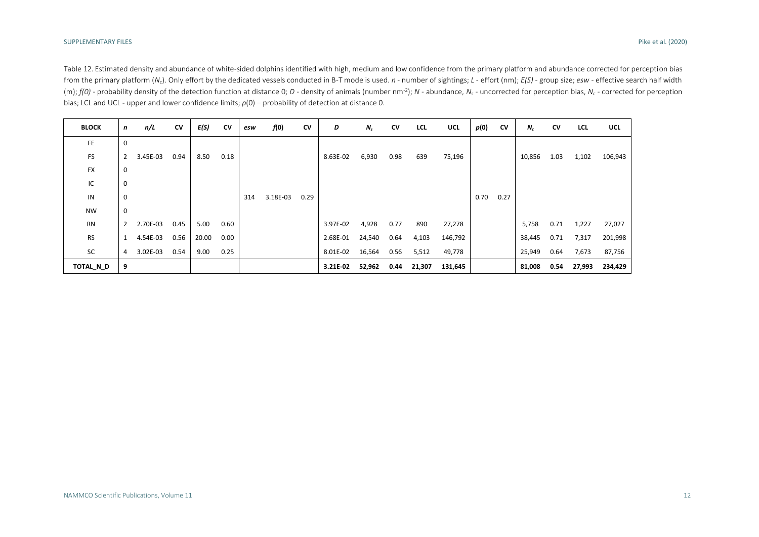Table 12. Estimated density and abundance of white-sided dolphins identified with high, medium and low confidence from the primary platform and abundance corrected for perception bias from the primary platform (N<sub>c</sub>). Only effort by the dedicated vessels conducted in B-T mode is used. n - number of sightings;  $L$  - effort (nm);  $E(S)$  - group size; esw - effective search half width (m);  $f(0)$  - probability density of the detection function at distance 0; D - density of animals (number nm<sup>-2</sup>); N - abundance, N<sub>s</sub> - uncorrected for perception bias, N<sub>c</sub> - corrected for perception bias; LCL and UCL - upper and lower confidence limits; *p*(0) – probability of detection at distance 0.

| <b>BLOCK</b> | n            | n/L      | CV   | E(S)  | CV   | esw | f(0)     | CV   | D        | $N_{s}$ | CV   | LCL    | <b>UCL</b> | p(0) | CV   | $N_c$  | CV   | LCL    | UCL     |
|--------------|--------------|----------|------|-------|------|-----|----------|------|----------|---------|------|--------|------------|------|------|--------|------|--------|---------|
| FE.          | $\Omega$     |          |      |       |      |     |          |      |          |         |      |        |            |      |      |        |      |        |         |
| FS           | 2            | 3.45E-03 | 0.94 | 8.50  | 0.18 |     |          |      | 8.63E-02 | 6,930   | 0.98 | 639    | 75,196     |      |      | 10,856 | 1.03 | 1,102  | 106,943 |
| <b>FX</b>    | 0            |          |      |       |      |     |          |      |          |         |      |        |            |      |      |        |      |        |         |
| IC           | 0            |          |      |       |      |     |          |      |          |         |      |        |            |      |      |        |      |        |         |
| IN           | 0            |          |      |       |      | 314 | 3.18E-03 | 0.29 |          |         |      |        |            | 0.70 | 0.27 |        |      |        |         |
| <b>NW</b>    | 0            |          |      |       |      |     |          |      |          |         |      |        |            |      |      |        |      |        |         |
| <b>RN</b>    | $\mathbf{2}$ | 2.70E-03 | 0.45 | 5.00  | 0.60 |     |          |      | 3.97E-02 | 4,928   | 0.77 | 890    | 27,278     |      |      | 5,758  | 0.71 | 1,227  | 27,027  |
| <b>RS</b>    |              | 4.54E-03 | 0.56 | 20.00 | 0.00 |     |          |      | 2.68E-01 | 24,540  | 0.64 | 4,103  | 146,792    |      |      | 38,445 | 0.71 | 7,317  | 201,998 |
| SC           | 4            | 3.02E-03 | 0.54 | 9.00  | 0.25 |     |          |      | 8.01E-02 | 16,564  | 0.56 | 5,512  | 49,778     |      |      | 25,949 | 0.64 | 7,673  | 87,756  |
| TOTAL N D    | 9            |          |      |       |      |     |          |      | 3.21E-02 | 52,962  | 0.44 | 21,307 | 131,645    |      |      | 81,008 | 0.54 | 27,993 | 234,429 |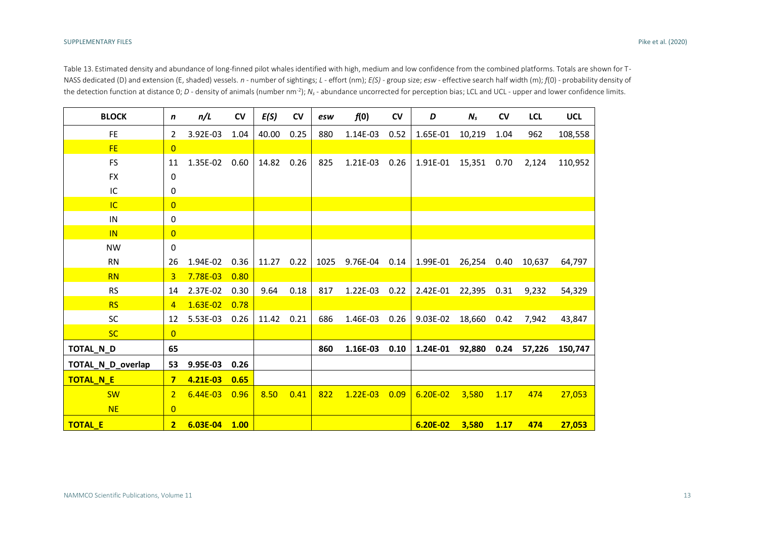Table 13. Estimated density and abundance of long-finned pilot whales identified with high, medium and low confidence from the combined platforms. Totals are shown for T-NASS dedicated (D) and extension (E, shaded) vessels. *n* - number of sightings; *L -* effort (nm); *E(S)* - group size; *esw* - effective search half width (m); *f*(0) - probability density of the detection function at distance 0; *D* - density of animals (number nm<sup>-2</sup>);  $N_s$  - abundance uncorrected for perception bias; LCL and UCL - upper and lower confidence limits.

| <b>BLOCK</b>      | n                       | n/L          | CV   | E(S)  | CV   | esw  | f(0)          | CV   | D            | $N_{s}$ | CV   | <b>LCL</b>  | <b>UCL</b> |
|-------------------|-------------------------|--------------|------|-------|------|------|---------------|------|--------------|---------|------|-------------|------------|
| <b>FE</b>         | $\overline{2}$          | 3.92E-03     | 1.04 | 40.00 | 0.25 | 880  | 1.14E-03      | 0.52 | 1.65E-01     | 10,219  | 1.04 | 962         | 108,558    |
| <b>FE</b>         | $\overline{0}$          |              |      |       |      |      |               |      |              |         |      |             |            |
| <b>FS</b>         | 11                      | 1.35E-02     | 0.60 | 14.82 | 0.26 | 825  | 1.21E-03      | 0.26 | 1.91E-01     | 15,351  | 0.70 | 2,124       | 110,952    |
| <b>FX</b>         | 0                       |              |      |       |      |      |               |      |              |         |      |             |            |
| IC                | 0                       |              |      |       |      |      |               |      |              |         |      |             |            |
| <b>IC</b>         | $\overline{0}$          |              |      |       |      |      |               |      |              |         |      |             |            |
| IN                | 0                       |              |      |       |      |      |               |      |              |         |      |             |            |
| IN                | $\overline{0}$          |              |      |       |      |      |               |      |              |         |      |             |            |
| <b>NW</b>         | 0                       |              |      |       |      |      |               |      |              |         |      |             |            |
| <b>RN</b>         | 26                      | 1.94E-02     | 0.36 | 11.27 | 0.22 | 1025 | 9.76E-04 0.14 |      | 1.99E-01     | 26,254  | 0.40 | 10,637      | 64,797     |
| <b>RN</b>         | 3                       | 7.78E-03     | 0.80 |       |      |      |               |      |              |         |      |             |            |
| <b>RS</b>         | 14                      | 2.37E-02     | 0.30 | 9.64  | 0.18 | 817  | 1.22E-03      | 0.22 | 2.42E-01     | 22,395  | 0.31 | 9,232       | 54,329     |
| <b>RS</b>         | 4                       | $1.63E - 02$ | 0.78 |       |      |      |               |      |              |         |      |             |            |
| SC                | 12                      | 5.53E-03     | 0.26 | 11.42 | 0.21 | 686  | 1.46E-03      | 0.26 | 9.03E-02     | 18,660  | 0.42 | 7,942       | 43,847     |
| <b>SC</b>         | $\overline{0}$          |              |      |       |      |      |               |      |              |         |      |             |            |
| TOTAL_N_D         | 65                      |              |      |       |      | 860  | 1.16E-03      | 0.10 | 1.24E-01     | 92,880  |      | 0.24 57,226 | 150,747    |
| TOTAL N D overlap | 53                      | 9.95E-03     | 0.26 |       |      |      |               |      |              |         |      |             |            |
| <b>TOTAL N E</b>  | $\overline{\mathbf{z}}$ | 4.21E-03     | 0.65 |       |      |      |               |      |              |         |      |             |            |
| <b>SW</b>         | $\overline{2}$          | $6.44E-03$   | 0.96 | 8.50  | 0.41 | 822  | $1.22E - 03$  | 0.09 | $6.20E - 02$ | 3,580   | 1.17 | 474         | 27,053     |
| <b>NE</b>         | $\overline{0}$          |              |      |       |      |      |               |      |              |         |      |             |            |
| <b>TOTAL E</b>    | $\overline{2}$          | 6.03E-04     | 1.00 |       |      |      |               |      | 6.20E-02     | 3,580   | 1.17 | 474         | 27,053     |